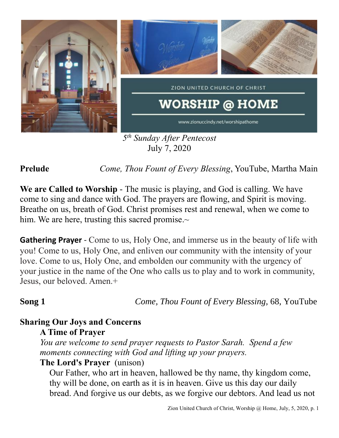

*5 th Sunday After Pentecost* July 7, 2020

**Prelude** *Come, Thou Fount of Every Blessing*, YouTube, Martha Main

**We are Called to Worship** - The music is playing, and God is calling. We have come to sing and dance with God. The prayers are flowing, and Spirit is moving. Breathe on us, breath of God. Christ promises rest and renewal, when we come to him. We are here, trusting this sacred promise. $\sim$ 

**Gathering Prayer** - Come to us, Holy One, and immerse us in the beauty of life with you! Come to us, Holy One, and enliven our community with the intensity of your love. Come to us, Holy One, and embolden our community with the urgency of your justice in the name of the One who calls us to play and to work in community, Jesus, our beloved. Amen.+

**Song 1** *Come, Thou Fount of Every Blessing,* 68, YouTube

# **Sharing Our Joys and Concerns**

## **A Time of Prayer**

*You are welcome to send prayer requests to Pastor Sarah. Spend a few moments connecting with God and lifting up your prayers.*

## **The Lord's Prayer** (unison)

Our Father, who art in heaven, hallowed be thy name, thy kingdom come, thy will be done, on earth as it is in heaven. Give us this day our daily bread. And forgive us our debts, as we forgive our debtors. And lead us not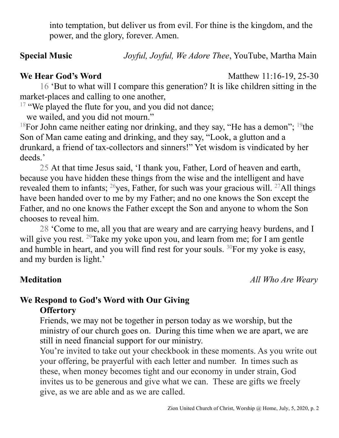into temptation, but deliver us from evil. For thine is the kingdom, and the power, and the glory, forever. Amen.

**Special Music** *Joyful, Joyful, We Adore Thee*, YouTube, Martha Main

**We Hear God's Word** Matthew 11:16-19, 25-30

16 'But to what will I compare this generation? It is like children sitting in the market-places and calling to one another,

 $17$  "We played the flute for you, and you did not dance;

we wailed, and you did not mourn."

<sup>18</sup>For John came neither eating nor drinking, and they say, "He has a demon"; <sup>19</sup>the Son of Man came eating and drinking, and they say, "Look, a glutton and a drunkard, a friend of tax-collectors and sinners!" Yet wisdom is vindicated by her deeds.'

25 At that time Jesus said, 'I thank you, Father, Lord of heaven and earth, because you have hidden these things from the wise and the intelligent and have revealed them to infants;  $^{26}$ yes, Father, for such was your gracious will.  $^{27}$ All things have been handed over to me by my Father; and no one knows the Son except the Father, and no one knows the Father except the Son and anyone to whom the Son chooses to reveal him.

28 'Come to me, all you that are weary and are carrying heavy burdens, and I will give you rest.  $29$ Take my yoke upon you, and learn from me; for I am gentle and humble in heart, and you will find rest for your souls. <sup>30</sup>For my yoke is easy, and my burden is light.'

**Meditation** *All Who Are Weary*

## **We Respond to God's Word with Our Giving Offertory**

Friends, we may not be together in person today as we worship, but the ministry of our church goes on. During this time when we are apart, we are still in need financial support for our ministry.

You're invited to take out your checkbook in these moments. As you write out your offering, be prayerful with each letter and number. In times such as these, when money becomes tight and our economy in under strain, God invites us to be generous and give what we can. These are gifts we freely give, as we are able and as we are called.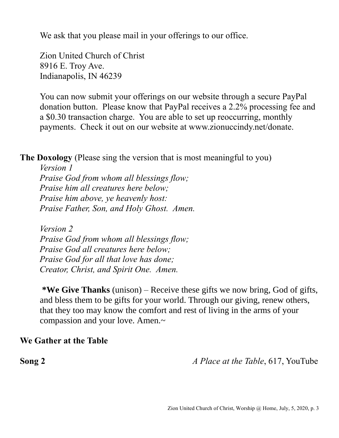We ask that you please mail in your offerings to our office.

Zion United Church of Christ 8916 E. Troy Ave. Indianapolis, IN 46239

You can now submit your offerings on our website through a secure PayPal donation button. Please know that PayPal receives a 2.2% processing fee and a \$0.30 transaction charge. You are able to set up reoccurring, monthly payments. Check it out on our website at www.zionuccindy.net/donate.

**The Doxology** (Please sing the version that is most meaningful to you)

*Version 1 Praise God from whom all blessings flow; Praise him all creatures here below; Praise him above, ye heavenly host: Praise Father, Son, and Holy Ghost. Amen.*

*Version 2 Praise God from whom all blessings flow; Praise God all creatures here below; Praise God for all that love has done; Creator, Christ, and Spirit One. Amen.* 

**\*We Give Thanks** (unison) – Receive these gifts we now bring, God of gifts, and bless them to be gifts for your world. Through our giving, renew others, that they too may know the comfort and rest of living in the arms of your compassion and your love. Amen.~

### **We Gather at the Table**

**Song 2** *A Place at the Table*, 617, YouTube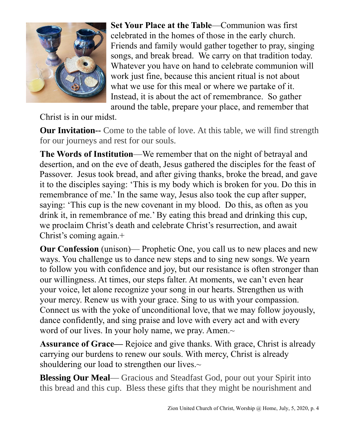

**Set Your Place at the Table**—Communion was first celebrated in the homes of those in the early church. Friends and family would gather together to pray, singing songs, and break bread. We carry on that tradition today. Whatever you have on hand to celebrate communion will work just fine, because this ancient ritual is not about what we use for this meal or where we partake of it. Instead, it is about the act of remembrance. So gather around the table, prepare your place, and remember that

Christ is in our midst.

**Our Invitation--** Come to the table of love. At this table, we will find strength for our journeys and rest for our souls.

**The Words of Institution**—We remember that on the night of betrayal and desertion, and on the eve of death, Jesus gathered the disciples for the feast of Passover. Jesus took bread, and after giving thanks, broke the bread, and gave it to the disciples saying: 'This is my body which is broken for you. Do this in remembrance of me.' In the same way, Jesus also took the cup after supper, saying: 'This cup is the new covenant in my blood. Do this, as often as you drink it, in remembrance of me.' By eating this bread and drinking this cup, we proclaim Christ's death and celebrate Christ's resurrection, and await Christ's coming again.+

**Our Confession** (unison)— Prophetic One, you call us to new places and new ways. You challenge us to dance new steps and to sing new songs. We yearn to follow you with confidence and joy, but our resistance is often stronger than our willingness. At times, our steps falter. At moments, we can't even hear your voice, let alone recognize your song in our hearts. Strengthen us with your mercy. Renew us with your grace. Sing to us with your compassion. Connect us with the yoke of unconditional love, that we may follow joyously, dance confidently, and sing praise and love with every act and with every word of our lives. In your holy name, we pray. Amen.~

**Assurance of Grace—** Rejoice and give thanks. With grace, Christ is already carrying our burdens to renew our souls. With mercy, Christ is already shouldering our load to strengthen our lives.~

**Blessing Our Meal—** Gracious and Steadfast God, pour out your Spirit into this bread and this cup. Bless these gifts that they might be nourishment and